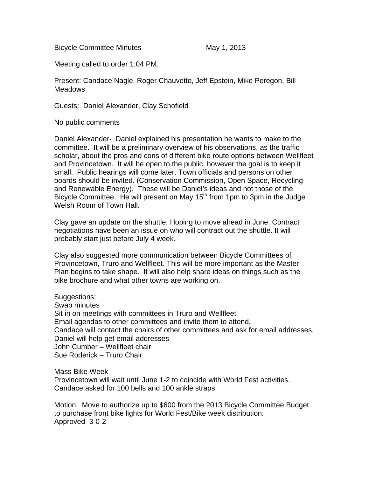Bicycle Committee Minutes May 1, 2013

Meeting called to order 1:04 PM.

Present: Candace Nagle, Roger Chauvette, Jeff Epstein, Mike Peregon, Bill **Meadows** 

Guests: Daniel Alexander, Clay Schofield

No public comments

Daniel Alexander- Daniel explained his presentation he wants to make to the committee. It will be a preliminary overview of his observations, as the traffic scholar, about the pros and cons of different bike route options between Wellfleet and Provincetown. It will be open to the public, however the goal is to keep it small. Public hearings will come later. Town officials and persons on other boards should be invited. (Conservation Commission, Open Space, Recycling and Renewable Energy). These will be Daniel's ideas and not those of the Bicycle Committee. He will present on May 15<sup>th</sup> from 1pm to 3pm in the Judge Welsh Room of Town Hall.

Clay gave an update on the shuttle. Hoping to move ahead in June. Contract negotiations have been an issue on who will contract out the shuttle. It will probably start just before July 4 week.

Clay also suggested more communication between Bicycle Committees of Provincetown, Truro and Wellfleet. This will be more important as the Master Plan begins to take shape. It will also help share ideas on things such as the bike brochure and what other towns are working on.

Suggestions:

Swap minutes Sit in on meetings with committees in Truro and Wellfleet Email agendas to other committees and invite them to attend. Candace will contact the chairs of other committees and ask for email addresses. Daniel will help get email addresses John Cumber – Wellfleet chair Sue Roderick – Truro Chair

Mass Bike Week

Provincetown will wait until June 1-2 to coincide with World Fest activities. Candace asked for 100 bells and 100 ankle straps

Motion: Move to authorize up to \$600 from the 2013 Bicycle Committee Budget to purchase front bike lights for World Fest/Bike week distribution. Approved 3-0-2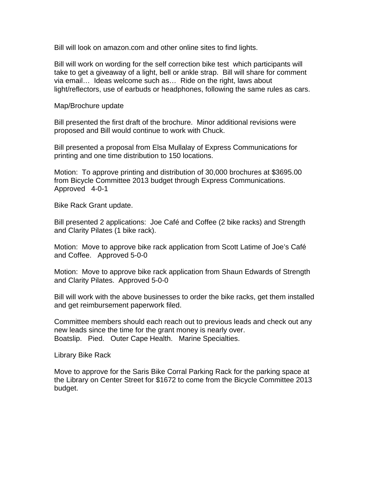Bill will look on amazon.com and other online sites to find lights.

Bill will work on wording for the self correction bike test which participants will take to get a giveaway of a light, bell or ankle strap. Bill will share for comment via email… Ideas welcome such as… Ride on the right, laws about light/reflectors, use of earbuds or headphones, following the same rules as cars.

Map/Brochure update

Bill presented the first draft of the brochure. Minor additional revisions were proposed and Bill would continue to work with Chuck.

Bill presented a proposal from Elsa Mullalay of Express Communications for printing and one time distribution to 150 locations.

Motion: To approve printing and distribution of 30,000 brochures at \$3695.00 from Bicycle Committee 2013 budget through Express Communications. Approved 4-0-1

Bike Rack Grant update.

Bill presented 2 applications: Joe Café and Coffee (2 bike racks) and Strength and Clarity Pilates (1 bike rack).

Motion: Move to approve bike rack application from Scott Latime of Joe's Café and Coffee. Approved 5-0-0

Motion: Move to approve bike rack application from Shaun Edwards of Strength and Clarity Pilates. Approved 5-0-0

Bill will work with the above businesses to order the bike racks, get them installed and get reimbursement paperwork filed.

Committee members should each reach out to previous leads and check out any new leads since the time for the grant money is nearly over. Boatslip. Pied. Outer Cape Health. Marine Specialties.

Library Bike Rack

Move to approve for the Saris Bike Corral Parking Rack for the parking space at the Library on Center Street for \$1672 to come from the Bicycle Committee 2013 budget.